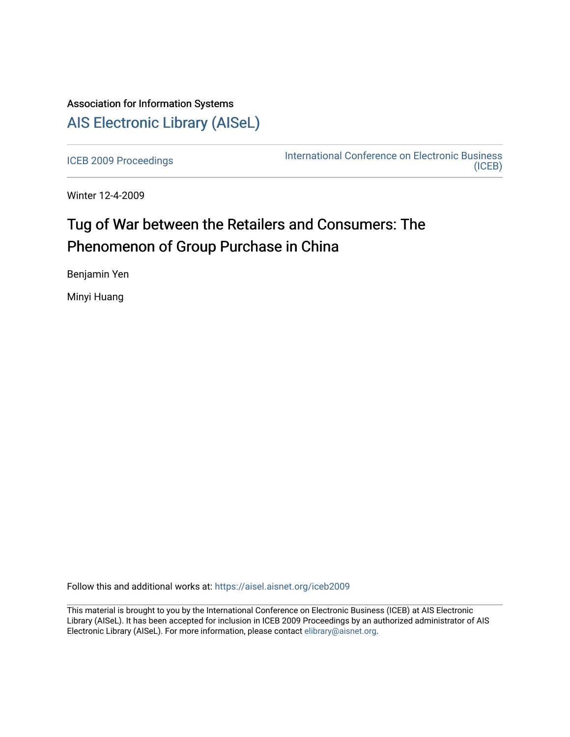# Association for Information Systems [AIS Electronic Library \(AISeL\)](https://aisel.aisnet.org/)

[ICEB 2009 Proceedings](https://aisel.aisnet.org/iceb2009) **International Conference on Electronic Business** [\(ICEB\)](https://aisel.aisnet.org/iceb) 

Winter 12-4-2009

# Tug of War between the Retailers and Consumers: The Phenomenon of Group Purchase in China

Benjamin Yen

Minyi Huang

Follow this and additional works at: [https://aisel.aisnet.org/iceb2009](https://aisel.aisnet.org/iceb2009?utm_source=aisel.aisnet.org%2Ficeb2009%2F137&utm_medium=PDF&utm_campaign=PDFCoverPages)

This material is brought to you by the International Conference on Electronic Business (ICEB) at AIS Electronic Library (AISeL). It has been accepted for inclusion in ICEB 2009 Proceedings by an authorized administrator of AIS Electronic Library (AISeL). For more information, please contact [elibrary@aisnet.org.](mailto:elibrary@aisnet.org%3E)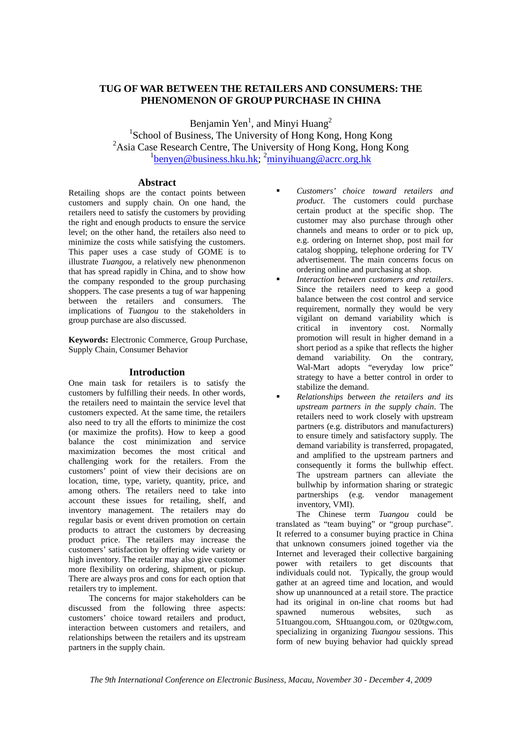# **TUG OF WAR BETWEEN THE RETAILERS AND CONSUMERS: THE PHENOMENON OF GROUP PURCHASE IN CHINA**

Benjamin Yen<sup>1</sup>, and Minyi Huang<sup>2</sup> <sup>1</sup>School of Business, The University of Hong Kong, Hong Kong <sup>2</sup> Asia Case Research Centre, The University of Hong Kong, Hong Kong <sup>1</sup>benyen@business.hku.hk; <sup>2</sup>minyihuang@acrc.org.hk

#### **Abstract**

Retailing shops are the contact points between customers and supply chain. On one hand, the retailers need to satisfy the customers by providing the right and enough products to ensure the service level; on the other hand, the retailers also need to minimize the costs while satisfying the customers. This paper uses a case study of GOME is to illustrate *Tuangou*, a relatively new phenonmenon that has spread rapidly in China, and to show how the company responded to the group purchasing shoppers. The case presents a tug of war happening between the retailers and consumers. The implications of *Tuangou* to the stakeholders in group purchase are also discussed.

**Keywords:** Electronic Commerce, Group Purchase, Supply Chain, Consumer Behavior

#### **Introduction**

One main task for retailers is to satisfy the customers by fulfilling their needs. In other words, the retailers need to maintain the service level that customers expected. At the same time, the retailers also need to try all the efforts to minimize the cost (or maximize the profits). How to keep a good balance the cost minimization and service maximization becomes the most critical and challenging work for the retailers. From the customers' point of view their decisions are on location, time, type, variety, quantity, price, and among others. The retailers need to take into account these issues for retailing, shelf, and inventory management. The retailers may do regular basis or event driven promotion on certain products to attract the customers by decreasing product price. The retailers may increase the customers' satisfaction by offering wide variety or high inventory. The retailer may also give customer more flexibility on ordering, shipment, or pickup. There are always pros and cons for each option that retailers try to implement.

The concerns for major stakeholders can be discussed from the following three aspects: customers' choice toward retailers and product, interaction between customers and retailers, and relationships between the retailers and its upstream partners in the supply chain.

- *Customers' choice toward retailers and product*. The customers could purchase certain product at the specific shop. The customer may also purchase through other channels and means to order or to pick up, e.g. ordering on Internet shop, post mail for catalog shopping, telephone ordering for TV advertisement. The main concerns focus on ordering online and purchasing at shop.
- *Interaction between customers and retailers*. Since the retailers need to keep a good balance between the cost control and service requirement, normally they would be very vigilant on demand variability which is critical in inventory cost. Normally promotion will result in higher demand in a short period as a spike that reflects the higher demand variability. On the contrary, Wal-Mart adopts "everyday low price" strategy to have a better control in order to stabilize the demand.
- *Relationships between the retailers and its upstream partners in the supply chain*. The retailers need to work closely with upstream partners (e.g. distributors and manufacturers) to ensure timely and satisfactory supply. The demand variability is transferred, propagated, and amplified to the upstream partners and consequently it forms the bullwhip effect. The upstream partners can alleviate the bullwhip by information sharing or strategic partnerships (e.g. vendor management inventory, VMI).

The Chinese term *Tuangou* could be translated as "team buying" or "group purchase". It referred to a consumer buying practice in China that unknown consumers joined together via the Internet and leveraged their collective bargaining power with retailers to get discounts that individuals could not. Typically, the group would gather at an agreed time and location, and would show up unannounced at a retail store. The practice had its original in on-line chat rooms but had spawned numerous websites, such as 51tuangou.com, SHtuangou.com, or 020tgw.com, specializing in organizing *Tuangou* sessions. This form of new buying behavior had quickly spread

*The 9th International Conference on Electronic Business, Macau, November 30 - December 4, 2009*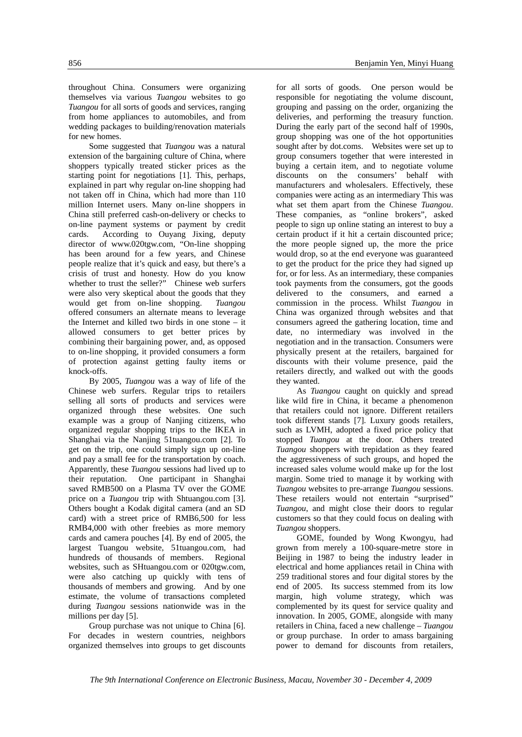throughout China. Consumers were organizing themselves via various *Tuangou* websites to go *Tuangou* for all sorts of goods and services, ranging from home appliances to automobiles, and from wedding packages to building/renovation materials for new homes.

 Some suggested that *Tuangou* was a natural extension of the bargaining culture of China, where shoppers typically treated sticker prices as the starting point for negotiations [1]. This, perhaps, explained in part why regular on-line shopping had not taken off in China, which had more than 110 million Internet users. Many on-line shoppers in China still preferred cash-on-delivery or checks to on-line payment systems or payment by credit cards. According to Ouyang Jixing, deputy director of www.020tgw.com, "On-line shopping has been around for a few years, and Chinese people realize that it's quick and easy, but there's a crisis of trust and honesty. How do you know whether to trust the seller?" Chinese web surfers were also very skeptical about the goods that they would get from on-line shopping. *Tuangou* offered consumers an alternate means to leverage the Internet and killed two birds in one stone – it allowed consumers to get better prices by combining their bargaining power, and, as opposed to on-line shopping, it provided consumers a form of protection against getting faulty items or knock-offs.

By 2005, *Tuangou* was a way of life of the Chinese web surfers. Regular trips to retailers selling all sorts of products and services were organized through these websites. One such example was a group of Nanjing citizens, who organized regular shopping trips to the IKEA in Shanghai via the Nanjing 51tuangou.com [2]. To get on the trip, one could simply sign up on-line and pay a small fee for the transportation by coach. Apparently, these *Tuangou* sessions had lived up to their reputation. One participant in Shanghai saved RMB500 on a Plasma TV over the GOME price on a *Tuangou* trip with Shtuangou.com [3]. Others bought a Kodak digital camera (and an SD card) with a street price of RMB6,500 for less RMB4,000 with other freebies as more memory cards and camera pouches [4]. By end of 2005, the largest Tuangou website, 51tuangou.com, had hundreds of thousands of members. Regional websites, such as SHtuangou.com or 020tgw.com, were also catching up quickly with tens of thousands of members and growing. And by one estimate, the volume of transactions completed during *Tuangou* sessions nationwide was in the millions per day [5].

Group purchase was not unique to China [6]. For decades in western countries, neighbors organized themselves into groups to get discounts

for all sorts of goods. One person would be responsible for negotiating the volume discount, grouping and passing on the order, organizing the deliveries, and performing the treasury function. During the early part of the second half of 1990s, group shopping was one of the hot opportunities sought after by dot.coms. Websites were set up to group consumers together that were interested in buying a certain item, and to negotiate volume discounts on the consumers' behalf with manufacturers and wholesalers. Effectively, these companies were acting as an intermediary This was what set them apart from the Chinese *Tuangou*. These companies, as "online brokers", asked people to sign up online stating an interest to buy a certain product if it hit a certain discounted price; the more people signed up, the more the price would drop, so at the end everyone was guaranteed to get the product for the price they had signed up for, or for less. As an intermediary, these companies took payments from the consumers, got the goods delivered to the consumers, and earned a commission in the process. Whilst *Tuangou* in China was organized through websites and that consumers agreed the gathering location, time and date, no intermediary was involved in the negotiation and in the transaction. Consumers were physically present at the retailers, bargained for discounts with their volume presence, paid the retailers directly, and walked out with the goods they wanted.

As *Tuangou* caught on quickly and spread like wild fire in China, it became a phenomenon that retailers could not ignore. Different retailers took different stands [7]. Luxury goods retailers, such as LVMH, adopted a fixed price policy that stopped *Tuangou* at the door. Others treated *Tuangou* shoppers with trepidation as they feared the aggressiveness of such groups, and hoped the increased sales volume would make up for the lost margin. Some tried to manage it by working with *Tuangou* websites to pre-arrange *Tuangou* sessions. These retailers would not entertain "surprised" *Tuangou*, and might close their doors to regular customers so that they could focus on dealing with *Tuangou* shoppers.

GOME, founded by Wong Kwongyu, had grown from merely a 100-square-metre store in Beijing in 1987 to being the industry leader in electrical and home appliances retail in China with 259 traditional stores and four digital stores by the end of 2005. Its success stemmed from its low margin, high volume strategy, which was complemented by its quest for service quality and innovation. In 2005, GOME, alongside with many retailers in China, faced a new challenge – *Tuangou*  or group purchase. In order to amass bargaining power to demand for discounts from retailers,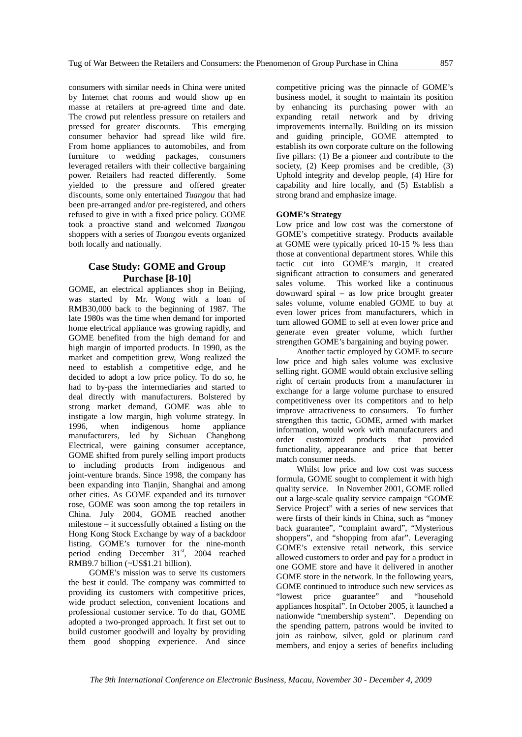consumers with similar needs in China were united by Internet chat rooms and would show up en masse at retailers at pre-agreed time and date. The crowd put relentless pressure on retailers and pressed for greater discounts. This emerging consumer behavior had spread like wild fire. From home appliances to automobiles, and from furniture to wedding packages, consumers leveraged retailers with their collective bargaining power. Retailers had reacted differently. Some yielded to the pressure and offered greater discounts, some only entertained *Tuangou* that had been pre-arranged and/or pre-registered, and others refused to give in with a fixed price policy. GOME took a proactive stand and welcomed *Tuangou* shoppers with a series of *Tuangou* events organized both locally and nationally.

## **Case Study: GOME and Group Purchase [8-10]**

GOME, an electrical appliances shop in Beijing, was started by Mr. Wong with a loan of RMB30,000 back to the beginning of 1987. The late 1980s was the time when demand for imported home electrical appliance was growing rapidly, and GOME benefited from the high demand for and high margin of imported products. In 1990, as the market and competition grew, Wong realized the need to establish a competitive edge, and he decided to adopt a low price policy. To do so, he had to by-pass the intermediaries and started to deal directly with manufacturers. Bolstered by strong market demand, GOME was able to instigate a low margin, high volume strategy. In 1996, when indigenous home appliance manufacturers, led by Sichuan Changhong Electrical, were gaining consumer acceptance, GOME shifted from purely selling import products to including products from indigenous and joint-venture brands. Since 1998, the company has been expanding into Tianjin, Shanghai and among other cities. As GOME expanded and its turnover rose, GOME was soon among the top retailers in China. July 2004, GOME reached another milestone – it successfully obtained a listing on the Hong Kong Stock Exchange by way of a backdoor listing. GOME's turnover for the nine-month period ending December 31st, 2004 reached RMB9.7 billion (~US\$1.21 billion).

GOME's mission was to serve its customers the best it could. The company was committed to providing its customers with competitive prices, wide product selection, convenient locations and professional customer service. To do that, GOME adopted a two-pronged approach. It first set out to build customer goodwill and loyalty by providing them good shopping experience. And since

competitive pricing was the pinnacle of GOME's business model, it sought to maintain its position by enhancing its purchasing power with an expanding retail network and by driving improvements internally. Building on its mission and guiding principle, GOME attempted to establish its own corporate culture on the following five pillars: (1) Be a pioneer and contribute to the society, (2) Keep promises and be credible, (3) Uphold integrity and develop people, (4) Hire for capability and hire locally, and (5) Establish a strong brand and emphasize image.

#### **GOME's Strategy**

Low price and low cost was the cornerstone of GOME's competitive strategy. Products available at GOME were typically priced 10-15 % less than those at conventional department stores. While this tactic cut into GOME's margin, it created significant attraction to consumers and generated sales volume. This worked like a continuous downward spiral – as low price brought greater sales volume, volume enabled GOME to buy at even lower prices from manufacturers, which in turn allowed GOME to sell at even lower price and generate even greater volume, which further strengthen GOME's bargaining and buying power.

Another tactic employed by GOME to secure low price and high sales volume was exclusive selling right. GOME would obtain exclusive selling right of certain products from a manufacturer in exchange for a large volume purchase to ensured competitiveness over its competitors and to help improve attractiveness to consumers. To further strengthen this tactic, GOME, armed with market information, would work with manufacturers and order customized products that provided functionality, appearance and price that better match consumer needs.

Whilst low price and low cost was success formula, GOME sought to complement it with high quality service. In November 2001, GOME rolled out a large-scale quality service campaign "GOME Service Project" with a series of new services that were firsts of their kinds in China, such as "money back guarantee", "complaint award", "Mysterious shoppers", and "shopping from afar". Leveraging GOME's extensive retail network, this service allowed customers to order and pay for a product in one GOME store and have it delivered in another GOME store in the network. In the following years, GOME continued to introduce such new services as "lowest price guarantee" and "household appliances hospital". In October 2005, it launched a nationwide "membership system". Depending on the spending pattern, patrons would be invited to join as rainbow, silver, gold or platinum card members, and enjoy a series of benefits including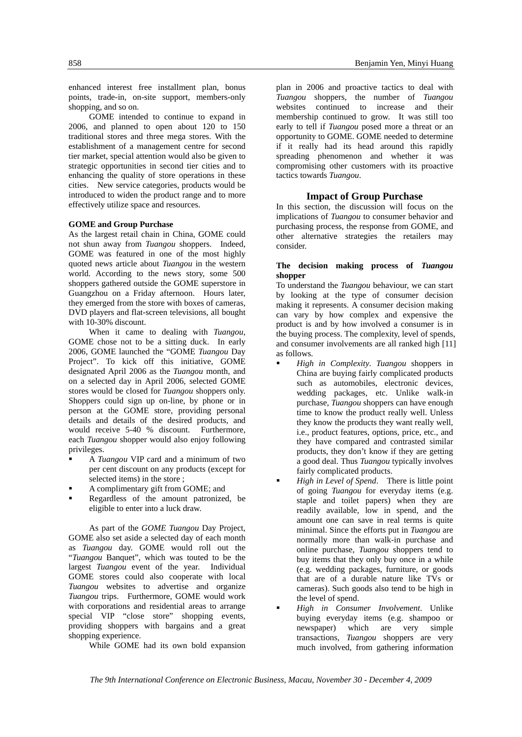enhanced interest free installment plan, bonus points, trade-in, on-site support, members-only shopping, and so on.

GOME intended to continue to expand in 2006, and planned to open about 120 to 150 traditional stores and three mega stores. With the establishment of a management centre for second tier market, special attention would also be given to strategic opportunities in second tier cities and to enhancing the quality of store operations in these cities. New service categories, products would be introduced to widen the product range and to more effectively utilize space and resources.

#### **GOME and Group Purchase**

As the largest retail chain in China, GOME could not shun away from *Tuangou* shoppers. Indeed, GOME was featured in one of the most highly quoted news article about *Tuangou* in the western world. According to the news story, some 500 shoppers gathered outside the GOME superstore in Guangzhou on a Friday afternoon. Hours later, they emerged from the store with boxes of cameras, DVD players and flat-screen televisions, all bought with 10-30% discount.

When it came to dealing with *Tuangou*, GOME chose not to be a sitting duck. In early 2006, GOME launched the "GOME *Tuangou* Day Project". To kick off this initiative, GOME designated April 2006 as the *Tuangou* month, and on a selected day in April 2006, selected GOME stores would be closed for *Tuangou* shoppers only. Shoppers could sign up on-line, by phone or in person at the GOME store, providing personal details and details of the desired products, and would receive 5-40 % discount. Furthermore, each *Tuangou* shopper would also enjoy following privileges.

- A *Tuangou* VIP card and a minimum of two per cent discount on any products (except for selected items) in the store ;
- A complimentary gift from GOME; and
- Regardless of the amount patronized, be eligible to enter into a luck draw.

As part of the *GOME Tuangou* Day Project, GOME also set aside a selected day of each month as *Tuangou* day. GOME would roll out the "*Tuangou* Banquet", which was touted to be the largest *Tuangou* event of the year. Individual GOME stores could also cooperate with local *Tuangou* websites to advertise and organize *Tuangou* trips. Furthermore, GOME would work with corporations and residential areas to arrange special VIP "close store" shopping events, providing shoppers with bargains and a great shopping experience.

While GOME had its own bold expansion

plan in 2006 and proactive tactics to deal with *Tuangou* shoppers, the number of *Tuangou* websites continued to increase and their membership continued to grow. It was still too early to tell if *Tuangou* posed more a threat or an opportunity to GOME. GOME needed to determine if it really had its head around this rapidly spreading phenomenon and whether it was compromising other customers with its proactive tactics towards *Tuangou*.

#### **Impact of Group Purchase**

In this section, the discussion will focus on the implications of *Tuangou* to consumer behavior and purchasing process, the response from GOME, and other alternative strategies the retailers may consider.

#### **The decision making process of** *Tuangou* **shopper**

To understand the *Tuangou* behaviour, we can start by looking at the type of consumer decision making it represents. A consumer decision making can vary by how complex and expensive the product is and by how involved a consumer is in the buying process. The complexity, level of spends, and consumer involvements are all ranked high [11] as follows.

- *High in Complexity*. *Tuangou* shoppers in China are buying fairly complicated products such as automobiles, electronic devices, wedding packages, etc. Unlike walk-in purchase, *Tuangou* shoppers can have enough time to know the product really well. Unless they know the products they want really well, i.e., product features, options, price, etc., and they have compared and contrasted similar products, they don't know if they are getting a good deal. Thus *Tuangou* typically involves fairly complicated products.
- *High in Level of Spend*. There is little point of going *Tuangou* for everyday items (e.g. staple and toilet papers) when they are readily available, low in spend, and the amount one can save in real terms is quite minimal. Since the efforts put in *Tuangou* are normally more than walk-in purchase and online purchase, *Tuangou* shoppers tend to buy items that they only buy once in a while (e.g. wedding packages, furniture, or goods that are of a durable nature like TVs or cameras). Such goods also tend to be high in the level of spend.
- *High in Consumer Involvement*. Unlike buying everyday items (e.g. shampoo or newspaper) which are very simple transactions, *Tuangou* shoppers are very much involved, from gathering information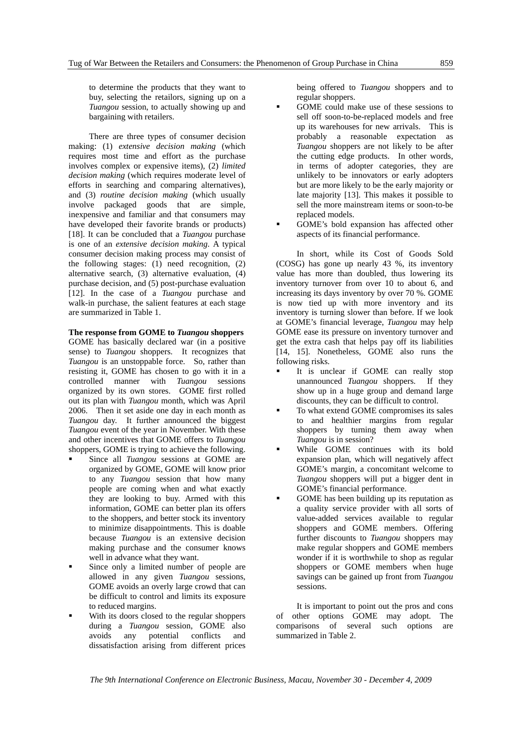to determine the products that they want to buy, selecting the retailors, signing up on a *Tuangou* session, to actually showing up and bargaining with retailers.

There are three types of consumer decision making: (1) *extensive decision making* (which requires most time and effort as the purchase involves complex or expensive items), (2) *limited decision making* (which requires moderate level of efforts in searching and comparing alternatives), and (3) *routine decision making* (which usually involve packaged goods that are simple, inexpensive and familiar and that consumers may have developed their favorite brands or products) [18]. It can be concluded that a *Tuangou* purchase is one of an *extensive decision making*. A typical consumer decision making process may consist of the following stages: (1) need recognition, (2) alternative search, (3) alternative evaluation, (4) purchase decision, and (5) post-purchase evaluation [12]. In the case of a *Tuangou* purchase and walk-in purchase, the salient features at each stage are summarized in Table 1.

### **The response from GOME to** *Tuangou* **shoppers**

GOME has basically declared war (in a positive sense) to *Tuangou* shoppers. It recognizes that *Tuangou* is an unstoppable force. So, rather than resisting it, GOME has chosen to go with it in a controlled manner with *Tuangou* sessions organized by its own stores. GOME first rolled out its plan with *Tuangou* month, which was April 2006. Then it set aside one day in each month as *Tuangou* day. It further announced the biggest *Tuangou* event of the year in November. With these and other incentives that GOME offers to *Tuangou* shoppers, GOME is trying to achieve the following.

- Since all *Tuangou* sessions at GOME are organized by GOME, GOME will know prior to any *Tuangou* session that how many people are coming when and what exactly they are looking to buy. Armed with this information, GOME can better plan its offers to the shoppers, and better stock its inventory to minimize disappointments. This is doable because *Tuangou* is an extensive decision making purchase and the consumer knows well in advance what they want.
- Since only a limited number of people are allowed in any given *Tuangou* sessions, GOME avoids an overly large crowd that can be difficult to control and limits its exposure to reduced margins.
- With its doors closed to the regular shoppers during a *Tuangou* session, GOME also avoids any potential conflicts and dissatisfaction arising from different prices

being offered to *Tuangou* shoppers and to regular shoppers.

- GOME could make use of these sessions to sell off soon-to-be-replaced models and free up its warehouses for new arrivals. This is probably a reasonable expectation as *Tuangou* shoppers are not likely to be after the cutting edge products. In other words, in terms of adopter categories, they are unlikely to be innovators or early adopters but are more likely to be the early majority or late majority [13]. This makes it possible to sell the more mainstream items or soon-to-be replaced models.
- GOME's bold expansion has affected other aspects of its financial performance.

In short, while its Cost of Goods Sold (COSG) has gone up nearly 43 %, its inventory value has more than doubled, thus lowering its inventory turnover from over 10 to about 6, and increasing its days inventory by over 70 %. GOME is now tied up with more inventory and its inventory is turning slower than before. If we look at GOME's financial leverage, *Tuangou* may help GOME ease its pressure on inventory turnover and get the extra cash that helps pay off its liabilities [14, 15]. Nonetheless, GOME also runs the following risks.

- It is unclear if GOME can really stop unannounced *Tuangou* shoppers. If they show up in a huge group and demand large discounts, they can be difficult to control.
- To what extend GOME compromises its sales to and healthier margins from regular shoppers by turning them away when *Tuangou* is in session?
- While GOME continues with its bold expansion plan, which will negatively affect GOME's margin, a concomitant welcome to *Tuangou* shoppers will put a bigger dent in GOME's financial performance.
- GOME has been building up its reputation as a quality service provider with all sorts of value-added services available to regular shoppers and GOME members. Offering further discounts to *Tuangou* shoppers may make regular shoppers and GOME members wonder if it is worthwhile to shop as regular shoppers or GOME members when huge savings can be gained up front from *Tuangou* sessions.

It is important to point out the pros and cons of other options GOME may adopt. The comparisons of several such options are summarized in Table 2.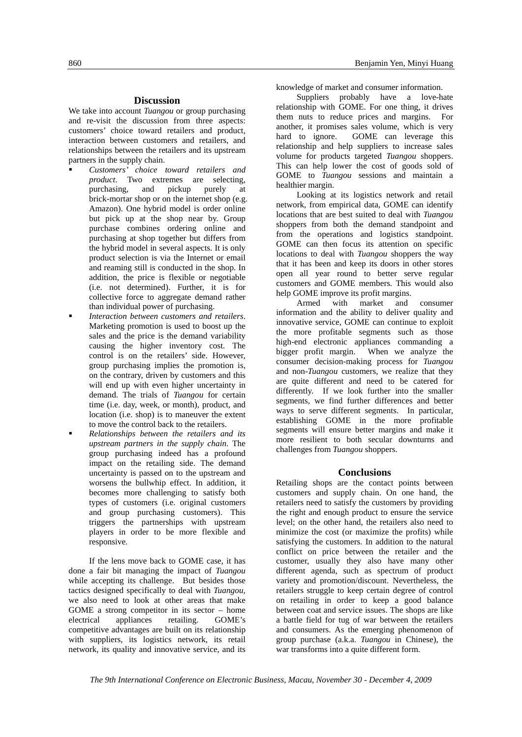#### **Discussion**

We take into account *Tuangou* or group purchasing and re-visit the discussion from three aspects: customers' choice toward retailers and product, interaction between customers and retailers, and relationships between the retailers and its upstream partners in the supply chain.

- *Customers' choice toward retailers and product*. Two extremes are selecting, purchasing, and pickup purely at brick-mortar shop or on the internet shop (e.g. Amazon). One hybrid model is order online but pick up at the shop near by. Group purchase combines ordering online and purchasing at shop together but differs from the hybrid model in several aspects. It is only product selection is via the Internet or email and reaming still is conducted in the shop. In addition, the price is flexible or negotiable (i.e. not determined). Further, it is for collective force to aggregate demand rather than individual power of purchasing.
- *Interaction between customers and retailers*. Marketing promotion is used to boost up the sales and the price is the demand variability causing the higher inventory cost. The control is on the retailers' side. However, group purchasing implies the promotion is, on the contrary, driven by customers and this will end up with even higher uncertainty in demand. The trials of *Tuangou* for certain time (i.e. day, week, or month), product, and location (i.e. shop) is to maneuver the extent to move the control back to the retailers.
- *Relationships between the retailers and its upstream partners in the supply chain*. The group purchasing indeed has a profound impact on the retailing side. The demand uncertainty is passed on to the upstream and worsens the bullwhip effect. In addition, it becomes more challenging to satisfy both types of customers (i.e. original customers and group purchasing customers). This triggers the partnerships with upstream players in order to be more flexible and responsive.

If the lens move back to GOME case, it has done a fair bit managing the impact of *Tuangou* while accepting its challenge. But besides those tactics designed specifically to deal with *Tuangou*, we also need to look at other areas that make GOME a strong competitor in its sector – home<br>electrical appliances retailing. GOME's electrical appliances retailing. GOME's competitive advantages are built on its relationship with suppliers, its logistics network, its retail network, its quality and innovative service, and its knowledge of market and consumer information.

Suppliers probably have a love-hate relationship with GOME. For one thing, it drives them nuts to reduce prices and margins. For another, it promises sales volume, which is very hard to ignore. GOME can leverage this relationship and help suppliers to increase sales volume for products targeted *Tuangou* shoppers. This can help lower the cost of goods sold of GOME to *Tuangou* sessions and maintain a healthier margin.

Looking at its logistics network and retail network, from empirical data, GOME can identify locations that are best suited to deal with *Tuangou* shoppers from both the demand standpoint and from the operations and logistics standpoint. GOME can then focus its attention on specific locations to deal with *Tuangou* shoppers the way that it has been and keep its doors in other stores open all year round to better serve regular customers and GOME members. This would also help GOME improve its profit margins.

Armed with market and consumer information and the ability to deliver quality and innovative service, GOME can continue to exploit the more profitable segments such as those high-end electronic appliances commanding a bigger profit margin. When we analyze the consumer decision-making process for *Tuangou* and non-*Tuangou* customers, we realize that they are quite different and need to be catered for differently. If we look further into the smaller segments, we find further differences and better ways to serve different segments. In particular, establishing GOME in the more profitable segments will ensure better margins and make it more resilient to both secular downturns and challenges from *Tuangou* shoppers.

#### **Conclusions**

Retailing shops are the contact points between customers and supply chain. On one hand, the retailers need to satisfy the customers by providing the right and enough product to ensure the service level; on the other hand, the retailers also need to minimize the cost (or maximize the profits) while satisfying the customers. In addition to the natural conflict on price between the retailer and the customer, usually they also have many other different agenda, such as spectrum of product variety and promotion/discount. Nevertheless, the retailers struggle to keep certain degree of control on retailing in order to keep a good balance between coat and service issues. The shops are like a battle field for tug of war between the retailers and consumers. As the emerging phenomenon of group purchase (a.k.a. *Tuangou* in Chinese), the war transforms into a quite different form.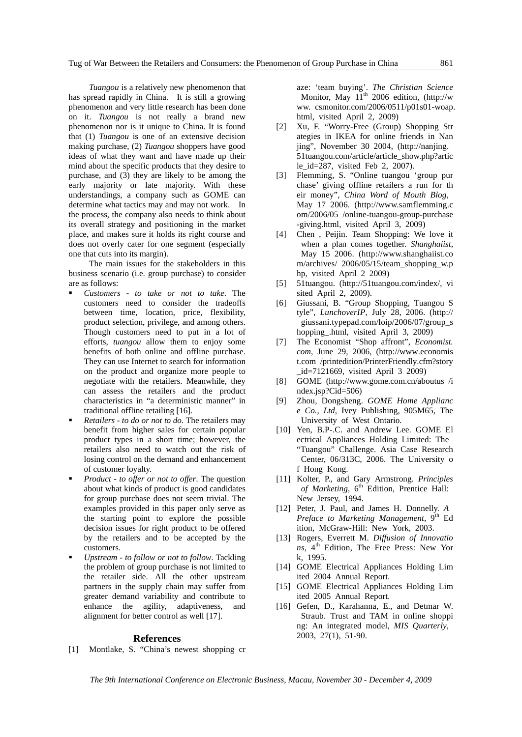*Tuangou* is a relatively new phenomenon that has spread rapidly in China. It is still a growing phenomenon and very little research has been done on it. *Tuangou* is not really a brand new phenomenon nor is it unique to China. It is found that (1) *Tuangou* is one of an extensive decision making purchase, (2) *Tuangou* shoppers have good ideas of what they want and have made up their mind about the specific products that they desire to purchase, and (3) they are likely to be among the early majority or late majority. With these understandings, a company such as GOME can determine what tactics may and may not work. In the process, the company also needs to think about its overall strategy and positioning in the market place, and makes sure it holds its right course and does not overly cater for one segment (especially one that cuts into its margin).

 The main issues for the stakeholders in this business scenario (i.e. group purchase) to consider are as follows:

- *Customers to take or not to take*. The customers need to consider the tradeoffs between time, location, price, flexibility, product selection, privilege, and among others. Though customers need to put in a lot of efforts, *tuangou* allow them to enjoy some benefits of both online and offline purchase. They can use Internet to search for information on the product and organize more people to negotiate with the retailers. Meanwhile, they can assess the retailers and the product characteristics in "a deterministic manner" in traditional offline retailing [16].
- *Retailers to do or not to do*. The retailers may benefit from higher sales for certain popular product types in a short time; however, the retailers also need to watch out the risk of losing control on the demand and enhancement of customer loyalty.
- *Product to offer or not to offer*. The question about what kinds of product is good candidates for group purchase does not seem trivial. The examples provided in this paper only serve as the starting point to explore the possible decision issues for right product to be offered by the retailers and to be accepted by the customers.
- *Upstream to follow or not to follow*. Tackling the problem of group purchase is not limited to the retailer side. All the other upstream partners in the supply chain may suffer from greater demand variability and contribute to enhance the agility, adaptiveness, and alignment for better control as well [17].

#### **References**

[1] Montlake, S. "China's newest shopping cr

aze: 'team buying'. *The Christian Science* Monitor, May  $11<sup>th</sup>$  2006 edition, (http://w ww. csmonitor.com/2006/0511/p01s01-woap. html, visited April 2, 2009)

- [2] Xu, F. "Worry-Free (Group) Shopping Str ategies in IKEA for online friends in Nan jing", November 30 2004, (http://nanjing. 51tuangou.com/article/article\_show.php?artic le\_id=287, visited Feb 2, 2007).
- [3] Flemming, S. "Online tuangou 'group pur chase' giving offline retailers a run for th eir money", *China Word of Mouth Blog*, May 17 2006. (http://www.samflemming.c om/2006/05 /online-tuangou-group-purchase -giving.html, visited April 3, 2009)
- [4] Chen , Peijin. Team Shopping: We love it when a plan comes together. *Shanghaiist*, May 15 2006. (http://www.shanghaiist.co m/archives/ 2006/05/15/team\_shopping\_w.p hp, visited April 2 2009)
- [5] 51tuangou. (http://51tuangou.com/index/, vi sited April 2, 2009).
- [6] Giussani, B. "Group Shopping, Tuangou S tyle", *LunchoverIP*, July 28, 2006. (http:// giussani.typepad.com/loip/2006/07/group\_s hopping\_.html, visited April 3, 2009)
- [7] The Economist "Shop affront", *Economist. com*, June 29, 2006, (http://www.economis t.com /printedition/PrinterFriendly.cfm?story \_id=7121669, visited April 3 2009)
- [8] GOME (http://www.gome.com.cn/aboutus /i ndex.jsp?Cid=506)
- [9] Zhou, Dongsheng. *GOME Home Applianc e Co., Ltd*, Ivey Publishing, 905M65, The University of West Ontario*.*
- [10] Yen, B.P-.C. and Andrew Lee. GOME El ectrical Appliances Holding Limited: The "Tuangou" Challenge. Asia Case Research Center, 06/313C, 2006. The University o f Hong Kong.
- [11] Kolter, P., and Gary Armstrong. *Principles of Marketing*, 6<sup>th</sup> Edition, Prentice Hall: New Jersey, 1994.
- [12] Peter, J. Paul, and James H. Donnelly. *A Preface to Marketing Management*, 9<sup>th</sup> Ed ition, McGraw-Hill: New York, 2003.
- [13] Rogers, Everrett M. *Diffusion of Innovatio ns*, 4<sup>th</sup> Edition, The Free Press: New Yor k, 1995.
- [14] GOME Electrical Appliances Holding Lim ited 2004 Annual Report.
- [15] GOME Electrical Appliances Holding Lim ited 2005 Annual Report.
- [16] Gefen, D., Karahanna, E., and Detmar W. Straub. Trust and TAM in online shoppi ng: An integrated model, *MIS Quarterly*, 2003, 27(1), 51-90.

*The 9th International Conference on Electronic Business, Macau, November 30 - December 4, 2009*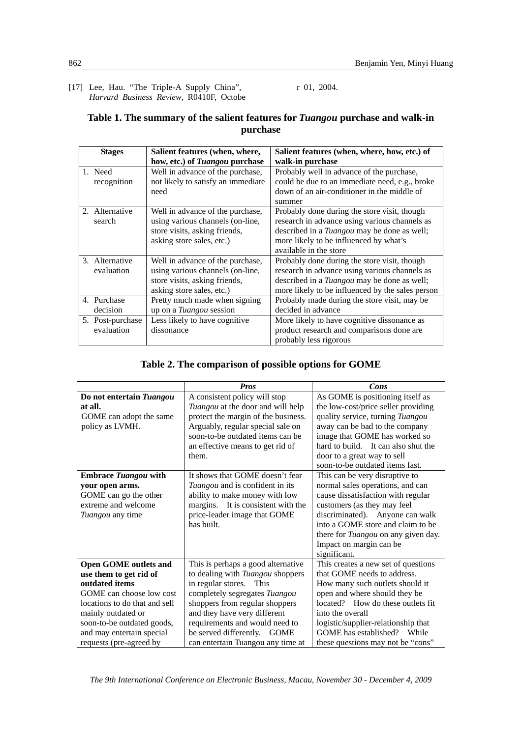[17] Lee, Hau. "The Triple-A Supply China", *Harvard Business Review*, R0410F, Octobe r 01, 2004.

# **Table 1. The summary of the salient features for** *Tuangou* **purchase and walk-in purchase**

| <b>Stages</b>    | Salient features (when, where,     | Salient features (when, where, how, etc.) of       |
|------------------|------------------------------------|----------------------------------------------------|
|                  | how, etc.) of Tuangou purchase     | walk-in purchase                                   |
| 1. Need          | Well in advance of the purchase,   | Probably well in advance of the purchase,          |
| recognition      | not likely to satisfy an immediate | could be due to an immediate need, e.g., broke     |
|                  | need                               | down of an air-conditioner in the middle of        |
|                  |                                    | summer                                             |
| 2. Alternative   | Well in advance of the purchase,   | Probably done during the store visit, though       |
| search           | using various channels (on-line,   | research in advance using various channels as      |
|                  | store visits, asking friends,      | described in a <i>Tuangou</i> may be done as well; |
|                  | asking store sales, etc.)          | more likely to be influenced by what's             |
|                  |                                    | available in the store                             |
| 3. Alternative   | Well in advance of the purchase,   | Probably done during the store visit, though       |
| evaluation       | using various channels (on-line,   | research in advance using various channels as      |
|                  | store visits, asking friends,      | described in a <i>Tuangou</i> may be done as well; |
|                  | asking store sales, etc.)          | more likely to be influenced by the sales person   |
| 4. Purchase      | Pretty much made when signing      | Probably made during the store visit, may be       |
| decision         | up on a <i>Tuangou</i> session     | decided in advance                                 |
| 5. Post-purchase | Less likely to have cognitive      | More likely to have cognitive dissonance as        |
| evaluation       | dissonance                         | product research and comparisons done are          |
|                  |                                    | probably less rigorous                             |

# **Table 2. The comparison of possible options for GOME**

|                               | <b>Pros</b>                           | Cons                                       |
|-------------------------------|---------------------------------------|--------------------------------------------|
| Do not entertain Tuangou      | A consistent policy will stop         | As GOME is positioning itself as           |
| at all.                       | Tuangou at the door and will help     | the low-cost/price seller providing        |
| GOME can adopt the same       | protect the margin of the business.   | quality service, turning Tuangou           |
| policy as LVMH.               | Arguably, regular special sale on     | away can be bad to the company             |
|                               | soon-to-be outdated items can be      | image that GOME has worked so              |
|                               | an effective means to get rid of      | hard to build. It can also shut the        |
|                               | them.                                 | door to a great way to sell                |
|                               |                                       | soon-to-be outdated items fast.            |
| <b>Embrace Tuangou with</b>   | It shows that GOME doesn't fear       | This can be very disruptive to             |
| your open arms.               | Tuangou and is confident in its       | normal sales operations, and can           |
| GOME can go the other         | ability to make money with low        | cause dissatisfaction with regular         |
| extreme and welcome           | margins. It is consistent with the    | customers (as they may feel                |
| Tuangou any time              | price-leader image that GOME          | discriminated). Anyone can walk            |
|                               | has built.                            | into a GOME store and claim to be          |
|                               |                                       | there for <i>Tuangou</i> on any given day. |
|                               |                                       | Impact on margin can be                    |
|                               |                                       | significant.                               |
| <b>Open GOME outlets and</b>  | This is perhaps a good alternative    | This creates a new set of questions        |
| use them to get rid of        | to dealing with Tuangou shoppers      | that GOME needs to address.                |
| outdated items                | in regular stores. This               | How many such outlets should it            |
| GOME can choose low cost      | completely segregates Tuangou         | open and where should they be              |
| locations to do that and sell | shoppers from regular shoppers        | located? How do these outlets fit          |
| mainly outdated or            | and they have very different          | into the overall                           |
| soon-to-be outdated goods,    | requirements and would need to        | logistic/supplier-relationship that        |
| and may entertain special     | be served differently.<br><b>GOME</b> | GOME has established? While                |
| requests (pre-agreed by       | can entertain Tuangou any time at     | these questions may not be "cons"          |

*The 9th International Conference on Electronic Business, Macau, November 30 - December 4, 2009*